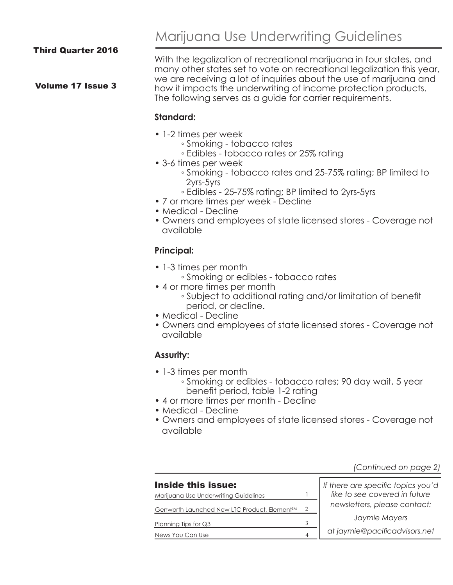#### Volume 17 Issue 3

Marijuana Use Underwriting Guidelines

With the legalization of recreational marijuana in four states, and many other states set to vote on recreational legalization this year, we are receiving a lot of inquiries about the use of marijuana and how it impacts the underwriting of income protection products. The following serves as a guide for carrier requirements.

#### **Standard:**

- 1-2 times per week
	- Smoking tobacco rates
	- Edibles tobacco rates or 25% rating
- 3-6 times per week
	- Smoking tobacco rates and 25-75% rating; BP limited to 2yrs-5yrs
	- Edibles 25-75% rating; BP limited to 2yrs-5yrs
- 7 or more times per week Decline
- Medical Decline
- Owners and employees of state licensed stores Coverage not available

## **Principal:**

- 1-3 times per month
	- Smoking or edibles tobacco rates
- 4 or more times per month
	- Subject to additional rating and/or limitation of benefit period, or decline.
- Medical Decline
- Owners and employees of state licensed stores Coverage not available

## **Assurity:**

- 1-3 times per month
	- Smoking or edibles tobacco rates; 90 day wait, 5 year benefit period, table 1-2 rating
- 4 or more times per month Decline
- Medical Decline
- Owners and employees of state licensed stores Coverage not available

*(Continued on page 2)*

| Inside this issue:                                       |   | If there are specific topics you'd |
|----------------------------------------------------------|---|------------------------------------|
| Marijuana Use Underwriting Guidelines                    |   | like to see covered in future      |
| Genworth Launched New LTC Product, Element <sup>SM</sup> | 2 | newsletters, please contact:       |
| Planning Tips for $Q3$                                   |   | Jaymie Mayers                      |
| News You Can Use                                         |   | at jaymie@pacificadvisors.net      |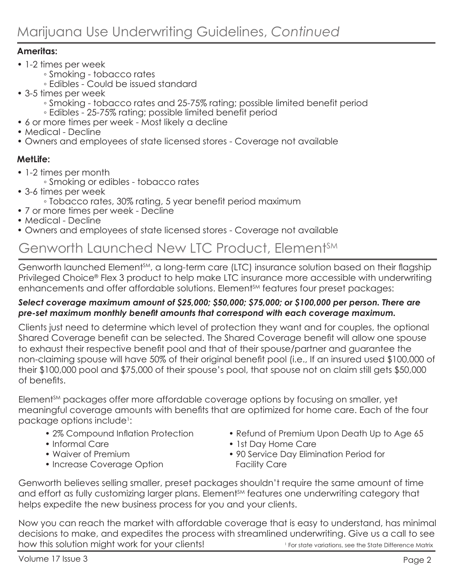## **Ameritas:**

- 1-2 times per week
	- Smoking tobacco rates
	- Edibles Could be issued standard
- 3-5 times per week
	- Smoking tobacco rates and 25-75% rating; possible limited benefit period ◦ Edibles - 25-75% rating; possible limited benefit period
- 6 or more times per week Most likely a decline
- Medical Decline
- Owners and employees of state licensed stores Coverage not available

## **MetLife:**

- 1-2 times per month
	- Smoking or edibles tobacco rates
- 3-6 times per week
	- Tobacco rates, 30% rating, 5 year benefit period maximum
- 7 or more times per week Decline
- Medical Decline
- Owners and employees of state licensed stores Coverage not available

# Genworth Launched New LTC Product, Element<sup>SM</sup>

Genworth launched Element<sup>sm</sup>, a long-term care (LTC) insurance solution based on their flagship Privileged Choice® Flex 3 product to help make LTC insurance more accessible with underwriting enhancements and offer affordable solutions. Element<sup>SM</sup> features four preset packages:

## *Select coverage maximum amount of \$25,000; \$50,000; \$75,000; or \$100,000 per person. There are pre-set maximum monthly benefit amounts that correspond with each coverage maximum.*

Clients just need to determine which level of protection they want and for couples, the optional Shared Coverage benefit can be selected. The Shared Coverage benefit will allow one spouse to exhaust their respective benefit pool and that of their spouse/partner and guarantee the non-claiming spouse will have 50% of their original benefit pool (i.e., If an insured used \$100,000 of their \$100,000 pool and \$75,000 of their spouse's pool, that spouse not on claim still gets \$50,000 of benefits.

Element<sup>SM</sup> packages offer more affordable coverage options by focusing on smaller, yet meaningful coverage amounts with benefits that are optimized for home care. Each of the four package options include1 :

- 2% Compound Inflation Protection
- Informal Care
- Waiver of Premium
- Increase Coverage Option
- Refund of Premium Upon Death Up to Age 65
- 1st Day Home Care
- 90 Service Day Elimination Period for Facility Care

Genworth believes selling smaller, preset packages shouldn't require the same amount of time and effort as fully customizing larger plans. Element<sup>sM</sup> features one underwriting category that helps expedite the new business process for you and your clients.

Now you can reach the market with affordable coverage that is easy to understand, has minimal decisions to make, and expedites the process with streamlined underwriting. Give us a call to see how this solution might work for your clients!<br>
1 For state variations, see the State Difference Matrix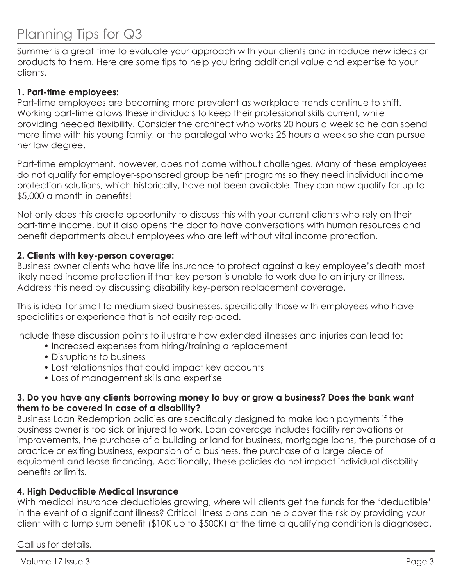# Planning Tips for Q3

Summer is a great time to evaluate your approach with your clients and introduce new ideas or products to them. Here are some tips to help you bring additional value and expertise to your clients.

### **1. Part-time employees:**

Part-time employees are becoming more prevalent as workplace trends continue to shift. Working part-time allows these individuals to keep their professional skills current, while providing needed flexibility. Consider the architect who works 20 hours a week so he can spend more time with his young family, or the paralegal who works 25 hours a week so she can pursue her law degree.

Part-time employment, however, does not come without challenges. Many of these employees do not qualify for employer-sponsored group benefit programs so they need individual income protection solutions, which historically, have not been available. They can now qualify for up to \$5,000 a month in benefits!

Not only does this create opportunity to discuss this with your current clients who rely on their part-time income, but it also opens the door to have conversations with human resources and benefit departments about employees who are left without vital income protection.

#### **2. Clients with key-person coverage:**

Business owner clients who have life insurance to protect against a key employee's death most likely need income protection if that key person is unable to work due to an injury or illness. Address this need by discussing disability key-person replacement coverage.

This is ideal for small to medium-sized businesses, specifically those with employees who have specialities or experience that is not easily replaced.

Include these discussion points to illustrate how extended illnesses and injuries can lead to:

- Increased expenses from hiring/training a replacement
- Disruptions to business
- Lost relationships that could impact key accounts
- Loss of management skills and expertise

#### **3. Do you have any clients borrowing money to buy or grow a business? Does the bank want them to be covered in case of a disability?**

Business Loan Redemption policies are specifically designed to make loan payments if the business owner is too sick or injured to work. Loan coverage includes facility renovations or improvements, the purchase of a building or land for business, mortgage loans, the purchase of a practice or exiting business, expansion of a business, the purchase of a large piece of equipment and lease financing. Additionally, these policies do not impact individual disability benefits or limits.

#### **4. High Deductible Medical Insurance**

With medical insurance deductibles growing, where will clients get the funds for the 'deductible' in the event of a significant illness? Critical illness plans can help cover the risk by providing your client with a lump sum benefit (\$10K up to \$500K) at the time a qualifying condition is diagnosed.

Call us for details.